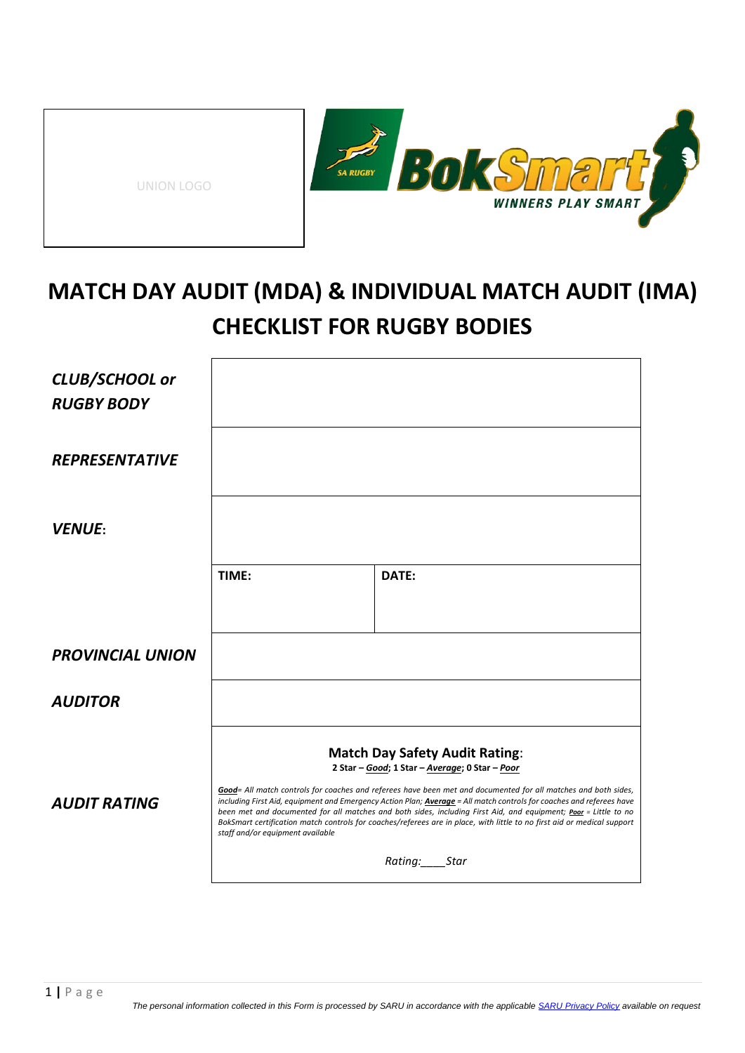| UNION LOGO |
|------------|
|------------|



## **MATCH DAY AUDIT (MDA) & INDIVIDUAL MATCH AUDIT (IMA) CHECKLIST FOR RUGBY BODIES**

| CLUB/SCHOOL or<br><b>RUGBY BODY</b> |                                  |                                                                                                                                                                                                                                                                                                                                                                                                                                                                                                                                                                                        |
|-------------------------------------|----------------------------------|----------------------------------------------------------------------------------------------------------------------------------------------------------------------------------------------------------------------------------------------------------------------------------------------------------------------------------------------------------------------------------------------------------------------------------------------------------------------------------------------------------------------------------------------------------------------------------------|
| <b>REPRESENTATIVE</b>               |                                  |                                                                                                                                                                                                                                                                                                                                                                                                                                                                                                                                                                                        |
| <b>VENUE:</b>                       |                                  |                                                                                                                                                                                                                                                                                                                                                                                                                                                                                                                                                                                        |
|                                     | TIME:                            | DATE:                                                                                                                                                                                                                                                                                                                                                                                                                                                                                                                                                                                  |
| <b>PROVINCIAL UNION</b>             |                                  |                                                                                                                                                                                                                                                                                                                                                                                                                                                                                                                                                                                        |
| <b>AUDITOR</b>                      |                                  |                                                                                                                                                                                                                                                                                                                                                                                                                                                                                                                                                                                        |
| <b>AUDIT RATING</b>                 |                                  | <b>Match Day Safety Audit Rating:</b><br>2 Star - Good; 1 Star - Average; 0 Star - Poor<br>Good= All match controls for coaches and referees have been met and documented for all matches and both sides,<br>including First Aid, equipment and Emergency Action Plan; <b>Average</b> = All match controls for coaches and referees have<br>been met and documented for all matches and both sides, including First Aid, and equipment; Poor = Little to no<br>BokSmart certification match controls for coaches/referees are in place, with little to no first aid or medical support |
|                                     | staff and/or equipment available | Rating: Star                                                                                                                                                                                                                                                                                                                                                                                                                                                                                                                                                                           |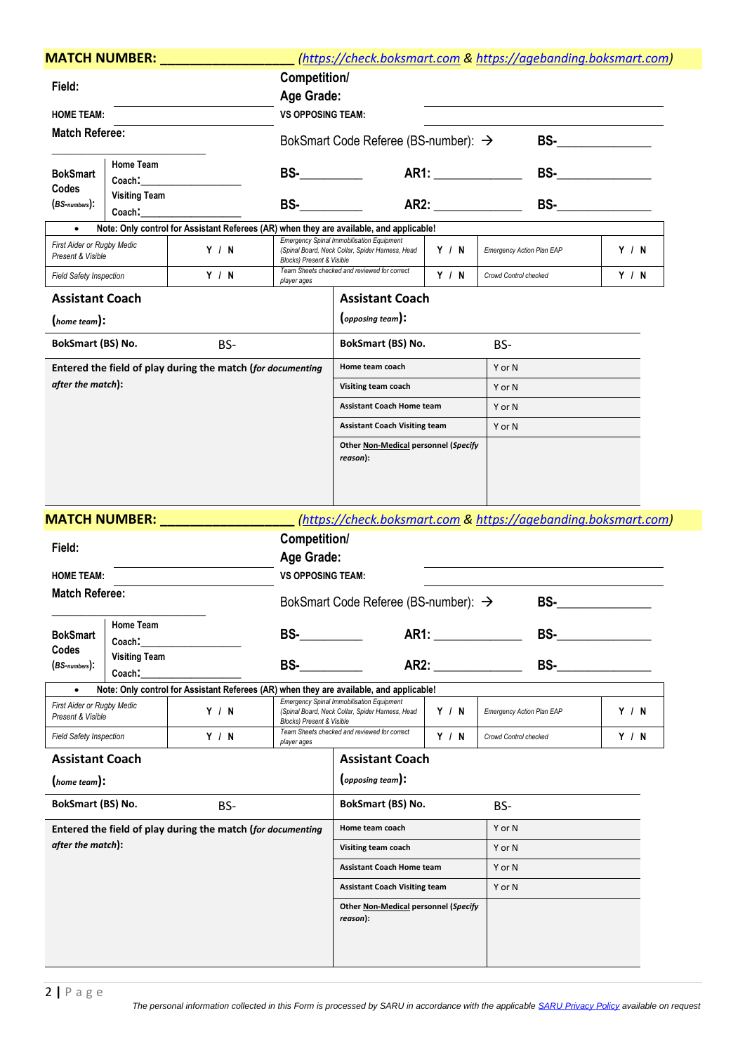|                                                                | <b>MATCH NUMBER:</b>           |                                                                                         |                                      | (https://check.boksmart.com & https://agebanding.boksmart.com)                                                                                                                                                                                   |           |                                  |                                                                                                                                                                                                                                                                                                                                                                                                                  |       |  |
|----------------------------------------------------------------|--------------------------------|-----------------------------------------------------------------------------------------|--------------------------------------|--------------------------------------------------------------------------------------------------------------------------------------------------------------------------------------------------------------------------------------------------|-----------|----------------------------------|------------------------------------------------------------------------------------------------------------------------------------------------------------------------------------------------------------------------------------------------------------------------------------------------------------------------------------------------------------------------------------------------------------------|-------|--|
| Field:                                                         |                                |                                                                                         | Competition/                         |                                                                                                                                                                                                                                                  |           |                                  |                                                                                                                                                                                                                                                                                                                                                                                                                  |       |  |
|                                                                |                                |                                                                                         | Age Grade:                           |                                                                                                                                                                                                                                                  |           |                                  |                                                                                                                                                                                                                                                                                                                                                                                                                  |       |  |
| <b>HOME TEAM:</b>                                              |                                |                                                                                         | <b>VS OPPOSING TEAM:</b>             |                                                                                                                                                                                                                                                  |           |                                  |                                                                                                                                                                                                                                                                                                                                                                                                                  |       |  |
| <b>Match Referee:</b>                                          |                                |                                                                                         |                                      | BokSmart Code Referee (BS-number): $\rightarrow$                                                                                                                                                                                                 |           |                                  |                                                                                                                                                                                                                                                                                                                                                                                                                  |       |  |
| <b>BokSmart</b>                                                | Home Team<br>Coach:            |                                                                                         | $BS$ - $\qquad$                      |                                                                                                                                                                                                                                                  |           |                                  | BS- $\frac{1}{\sqrt{1-\frac{1}{2}}\sqrt{1-\frac{1}{2}}\sqrt{1-\frac{1}{2}}\sqrt{1-\frac{1}{2}}\sqrt{1-\frac{1}{2}}\sqrt{1-\frac{1}{2}}\sqrt{1-\frac{1}{2}}\sqrt{1-\frac{1}{2}}\sqrt{1-\frac{1}{2}}\sqrt{1-\frac{1}{2}}\sqrt{1-\frac{1}{2}}\sqrt{1-\frac{1}{2}}\sqrt{1-\frac{1}{2}}\sqrt{1-\frac{1}{2}}\sqrt{1-\frac{1}{2}}\sqrt{1-\frac{1}{2}}\sqrt{1-\frac{1}{2}}\sqrt{1-\frac{1}{2}}\sqrt{1-\frac{1}{2}}\sqrt$ |       |  |
| Codes<br><b>Visiting Team</b><br>$(BS$ -numbers $):$<br>Coach: |                                |                                                                                         |                                      | AR2: AREA<br><b>BS-</b> Provide the set of the set of the set of the set of the set of the set of the set of the set of the set of the set of the set of the set of the set of the set of the set of the set of the set of the set of the set of |           |                                  |                                                                                                                                                                                                                                                                                                                                                                                                                  |       |  |
|                                                                |                                | Note: Only control for Assistant Referees (AR) when they are available, and applicable! |                                      |                                                                                                                                                                                                                                                  |           |                                  |                                                                                                                                                                                                                                                                                                                                                                                                                  |       |  |
| First Aider or Rugby Medic<br>Present & Visible                |                                | Y / N                                                                                   | <b>Blocks) Present &amp; Visible</b> | <b>Emergency Spinal Immobilisation Equipment</b><br>(Spinal Board, Neck Collar, Spider Harness, Head                                                                                                                                             | Y / N     | <b>Emergency Action Plan EAP</b> |                                                                                                                                                                                                                                                                                                                                                                                                                  | Y / N |  |
| <b>Field Safety Inspection</b>                                 |                                | Y / N                                                                                   | player ages                          | Team Sheets checked and reviewed for correct                                                                                                                                                                                                     | Y / N     | Crowd Control checked            |                                                                                                                                                                                                                                                                                                                                                                                                                  | Y / N |  |
| <b>Assistant Coach</b>                                         |                                |                                                                                         |                                      | <b>Assistant Coach</b>                                                                                                                                                                                                                           |           |                                  |                                                                                                                                                                                                                                                                                                                                                                                                                  |       |  |
| (home team):                                                   |                                |                                                                                         |                                      | $\left($ opposing team $\right)$ :                                                                                                                                                                                                               |           |                                  |                                                                                                                                                                                                                                                                                                                                                                                                                  |       |  |
| BokSmart (BS) No.                                              |                                | BS-                                                                                     |                                      | BokSmart (BS) No.                                                                                                                                                                                                                                |           | BS-                              |                                                                                                                                                                                                                                                                                                                                                                                                                  |       |  |
|                                                                |                                | Entered the field of play during the match (for documenting                             |                                      | Home team coach                                                                                                                                                                                                                                  |           | Y or N                           |                                                                                                                                                                                                                                                                                                                                                                                                                  |       |  |
| after the match):                                              |                                |                                                                                         |                                      | Visiting team coach                                                                                                                                                                                                                              |           | Y or N                           |                                                                                                                                                                                                                                                                                                                                                                                                                  |       |  |
|                                                                |                                |                                                                                         |                                      | <b>Assistant Coach Home team</b>                                                                                                                                                                                                                 |           | Y or N                           |                                                                                                                                                                                                                                                                                                                                                                                                                  |       |  |
|                                                                |                                |                                                                                         |                                      | <b>Assistant Coach Visiting team</b>                                                                                                                                                                                                             |           | Y or N                           |                                                                                                                                                                                                                                                                                                                                                                                                                  |       |  |
|                                                                |                                |                                                                                         |                                      | Other Non-Medical personnel (Specify<br>reason):                                                                                                                                                                                                 |           |                                  |                                                                                                                                                                                                                                                                                                                                                                                                                  |       |  |
|                                                                | <b>MATCH NUMBER:</b> ___       |                                                                                         |                                      | (https://check.boksmart.com & https://agebanding.boksmart.com)                                                                                                                                                                                   |           |                                  |                                                                                                                                                                                                                                                                                                                                                                                                                  |       |  |
|                                                                |                                |                                                                                         | Competition/                         |                                                                                                                                                                                                                                                  |           |                                  |                                                                                                                                                                                                                                                                                                                                                                                                                  |       |  |
| Field:                                                         |                                |                                                                                         | Age Grade:                           |                                                                                                                                                                                                                                                  |           |                                  |                                                                                                                                                                                                                                                                                                                                                                                                                  |       |  |
| <b>HOME TEAM:</b>                                              |                                |                                                                                         | <b>VS OPPOSING TEAM:</b>             |                                                                                                                                                                                                                                                  |           |                                  |                                                                                                                                                                                                                                                                                                                                                                                                                  |       |  |
| <b>Match Referee:</b>                                          |                                |                                                                                         |                                      | BokSmart Code Referee (BS-number): →                                                                                                                                                                                                             |           |                                  | BS-                                                                                                                                                                                                                                                                                                                                                                                                              |       |  |
| <b>BokSmart</b>                                                | Home Team                      |                                                                                         | <b>BS-</b>                           |                                                                                                                                                                                                                                                  |           |                                  | <b>BS- BS- BS-</b>                                                                                                                                                                                                                                                                                                                                                                                               |       |  |
| Codes                                                          | Coach:                         |                                                                                         |                                      |                                                                                                                                                                                                                                                  |           |                                  |                                                                                                                                                                                                                                                                                                                                                                                                                  |       |  |
| $(BS$ -numbers $):$                                            | <b>Visiting Team</b><br>Coach: |                                                                                         | BS-                                  |                                                                                                                                                                                                                                                  | AR2: AREA |                                  | <b>BS- Example 20</b>                                                                                                                                                                                                                                                                                                                                                                                            |       |  |
|                                                                |                                | Note: Only control for Assistant Referees (AR) when they are available, and applicable! |                                      |                                                                                                                                                                                                                                                  |           |                                  |                                                                                                                                                                                                                                                                                                                                                                                                                  |       |  |
| <b>First Aider or Rugby Medic</b><br>Present & Visible         |                                | Y / N                                                                                   | <b>Blocks) Present &amp; Visible</b> | <b>Emergency Spinal Immobilisation Equipment</b><br>(Spinal Board, Neck Collar, Spider Harness, Head                                                                                                                                             | Y/N       | <b>Emergency Action Plan EAP</b> |                                                                                                                                                                                                                                                                                                                                                                                                                  | Y / N |  |
| <b>Field Safety Inspection</b>                                 |                                | Y / N                                                                                   | player ages                          | Team Sheets checked and reviewed for correct                                                                                                                                                                                                     | Y / N     | Crowd Control checked            |                                                                                                                                                                                                                                                                                                                                                                                                                  | Y / N |  |
| <b>Assistant Coach</b>                                         |                                |                                                                                         |                                      | <b>Assistant Coach</b>                                                                                                                                                                                                                           |           |                                  |                                                                                                                                                                                                                                                                                                                                                                                                                  |       |  |
| (home team):                                                   |                                |                                                                                         |                                      | (opposing team):                                                                                                                                                                                                                                 |           |                                  |                                                                                                                                                                                                                                                                                                                                                                                                                  |       |  |
| BokSmart (BS) No.                                              |                                | BS-                                                                                     |                                      | BokSmart (BS) No.                                                                                                                                                                                                                                |           | BS-                              |                                                                                                                                                                                                                                                                                                                                                                                                                  |       |  |
|                                                                |                                | Entered the field of play during the match (for documenting                             |                                      | Home team coach                                                                                                                                                                                                                                  |           | Y or N                           |                                                                                                                                                                                                                                                                                                                                                                                                                  |       |  |
| after the match):                                              |                                |                                                                                         |                                      | Visiting team coach                                                                                                                                                                                                                              |           | Y or N                           |                                                                                                                                                                                                                                                                                                                                                                                                                  |       |  |
|                                                                |                                |                                                                                         |                                      | <b>Assistant Coach Home team</b>                                                                                                                                                                                                                 |           | Y or N                           |                                                                                                                                                                                                                                                                                                                                                                                                                  |       |  |
|                                                                |                                |                                                                                         |                                      | <b>Assistant Coach Visiting team</b>                                                                                                                                                                                                             |           | Y or N                           |                                                                                                                                                                                                                                                                                                                                                                                                                  |       |  |
|                                                                |                                |                                                                                         |                                      | Other Non-Medical personnel (Specify<br>reason):                                                                                                                                                                                                 |           |                                  |                                                                                                                                                                                                                                                                                                                                                                                                                  |       |  |
|                                                                |                                |                                                                                         |                                      |                                                                                                                                                                                                                                                  |           |                                  |                                                                                                                                                                                                                                                                                                                                                                                                                  |       |  |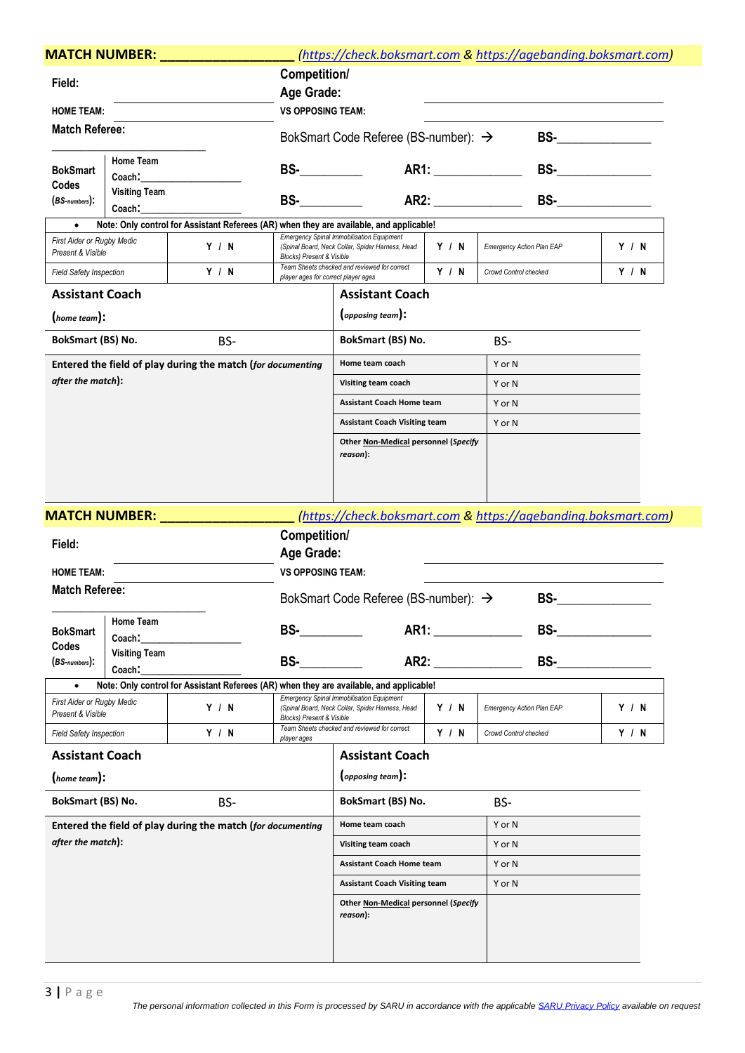| <b>MATCH NUMBER:</b>                            |                      |                                                                                         |                                      | (https://check.boksmart.com & https://agebanding.boksmart.com)                                       |             |                                  |                     |       |  |
|-------------------------------------------------|----------------------|-----------------------------------------------------------------------------------------|--------------------------------------|------------------------------------------------------------------------------------------------------|-------------|----------------------------------|---------------------|-------|--|
| Field:                                          |                      |                                                                                         | Competition/                         |                                                                                                      |             |                                  |                     |       |  |
|                                                 |                      |                                                                                         | Age Grade:                           |                                                                                                      |             |                                  |                     |       |  |
| <b>HOME TEAM:</b>                               |                      | <b>VS OPPOSING TEAM:</b>                                                                |                                      |                                                                                                      |             |                                  |                     |       |  |
| <b>Match Referee:</b>                           |                      |                                                                                         |                                      | BokSmart Code Referee (BS-number): →                                                                 |             | $BS-$                            |                     |       |  |
|                                                 | Home Team            |                                                                                         | $BS-$                                |                                                                                                      |             |                                  |                     |       |  |
| <b>BokSmart</b><br>Codes                        | Coach:               |                                                                                         |                                      |                                                                                                      |             |                                  | BS- _______________ |       |  |
| <b>Visiting Team</b><br>$(BS$ -numbers $):$     |                      | <b>BS-</b>                                                                              |                                      | AR2: AREA                                                                                            |             | BS- _______________              |                     |       |  |
| $\bullet$                                       | Coach:               | Note: Only control for Assistant Referees (AR) when they are available, and applicable! |                                      |                                                                                                      |             |                                  |                     |       |  |
| First Aider or Rugby Medic<br>Present & Visible |                      | Y / N                                                                                   | <b>Blocks) Present &amp; Visible</b> | <b>Emergency Spinal Immobilisation Equipment</b><br>(Spinal Board, Neck Collar, Spider Harness, Head | Y / N       | <b>Emergency Action Plan EAP</b> |                     | Y / N |  |
| <b>Field Safety Inspection</b>                  |                      | Y / N                                                                                   | player ages for correct player ages  | Team Sheets checked and reviewed for correct                                                         | Y / N       | Crowd Control checked            |                     | Y / N |  |
| <b>Assistant Coach</b>                          |                      |                                                                                         |                                      | <b>Assistant Coach</b>                                                                               |             |                                  |                     |       |  |
| (home team):                                    |                      |                                                                                         |                                      | (opposing team):                                                                                     |             |                                  |                     |       |  |
| BokSmart (BS) No.                               |                      | BS-                                                                                     |                                      | BokSmart (BS) No.                                                                                    |             | BS-                              |                     |       |  |
|                                                 |                      | Entered the field of play during the match (for documenting                             |                                      | Home team coach                                                                                      |             | Y or N                           |                     |       |  |
| after the match):                               |                      |                                                                                         |                                      | Visiting team coach                                                                                  |             | Y or N                           |                     |       |  |
|                                                 |                      |                                                                                         |                                      | <b>Assistant Coach Home team</b>                                                                     |             | Y or N                           |                     |       |  |
|                                                 |                      |                                                                                         |                                      | <b>Assistant Coach Visiting team</b>                                                                 |             | Y or N                           |                     |       |  |
|                                                 |                      |                                                                                         |                                      | Other Non-Medical personnel (Specify                                                                 |             |                                  |                     |       |  |
|                                                 |                      |                                                                                         |                                      | reason):                                                                                             |             |                                  |                     |       |  |
|                                                 |                      |                                                                                         |                                      |                                                                                                      |             |                                  |                     |       |  |
|                                                 |                      |                                                                                         |                                      |                                                                                                      |             |                                  |                     |       |  |
|                                                 | <b>MATCH NUMBER:</b> |                                                                                         |                                      | (https://check.boksmart.com & https://agebanding.boksmart.com)                                       |             |                                  |                     |       |  |
| Field:                                          |                      |                                                                                         | Competition/                         |                                                                                                      |             |                                  |                     |       |  |
|                                                 |                      |                                                                                         | Age Grade:                           |                                                                                                      |             |                                  |                     |       |  |
| <b>HOME TEAM:</b>                               |                      |                                                                                         | <b>VS OPPOSING TEAM:</b>             |                                                                                                      |             |                                  |                     |       |  |
| <b>Match Referee:</b>                           |                      |                                                                                         |                                      | BokSmart Code Referee (BS-number): →                                                                 |             |                                  | BS-                 |       |  |
|                                                 |                      |                                                                                         |                                      |                                                                                                      |             |                                  |                     |       |  |
| <b>BokSmart</b>                                 | Home Team<br>Coach:  |                                                                                         | <b>BS-</b>                           |                                                                                                      | AR1: ARIENT | <b>BS- BS- BS-</b>               |                     |       |  |
| <b>Codes</b>                                    | <b>Visiting Team</b> |                                                                                         |                                      |                                                                                                      |             |                                  |                     |       |  |
| $(BS$ -numbers $):$                             | Coach:               |                                                                                         | AR2:<br><b>BS-</b>                   |                                                                                                      |             | <b>BS- BS- EXECUTIVE</b>         |                     |       |  |
|                                                 |                      | Note: Only control for Assistant Referees (AR) when they are available, and applicable! |                                      |                                                                                                      |             |                                  |                     |       |  |
| First Aider or Rugby Medic<br>Present & Visible |                      | Y / N                                                                                   | <b>Blocks) Present &amp; Visible</b> | <b>Emergency Spinal Immobilisation Equipment</b><br>(Spinal Board, Neck Collar, Spider Harness, Head | Y / N       | <b>Emergency Action Plan EAP</b> |                     | Y / N |  |
| <b>Field Safety Inspection</b>                  |                      | Y / N                                                                                   | player ages                          | Team Sheets checked and reviewed for correct                                                         | Y / N       | Crowd Control checked            |                     | Y / N |  |
| <b>Assistant Coach</b>                          |                      |                                                                                         |                                      | <b>Assistant Coach</b>                                                                               |             |                                  |                     |       |  |
| (home team):                                    |                      |                                                                                         |                                      | (opposing team):                                                                                     |             |                                  |                     |       |  |
| BokSmart (BS) No.                               |                      | BS-                                                                                     |                                      | BokSmart (BS) No.                                                                                    |             | BS-                              |                     |       |  |
|                                                 |                      | Entered the field of play during the match (for documenting                             |                                      | Home team coach<br>Y or N                                                                            |             |                                  |                     |       |  |
| after the match):                               |                      |                                                                                         |                                      | Visiting team coach                                                                                  |             | Y or N                           |                     |       |  |
|                                                 |                      |                                                                                         |                                      | <b>Assistant Coach Home team</b>                                                                     |             | Y or N                           |                     |       |  |
|                                                 |                      |                                                                                         |                                      | <b>Assistant Coach Visiting team</b>                                                                 |             | Y or N                           |                     |       |  |
|                                                 |                      |                                                                                         |                                      | Other Non-Medical personnel (Specify<br>reason):                                                     |             |                                  |                     |       |  |
|                                                 |                      |                                                                                         |                                      |                                                                                                      |             |                                  |                     |       |  |
|                                                 |                      |                                                                                         |                                      |                                                                                                      |             |                                  |                     |       |  |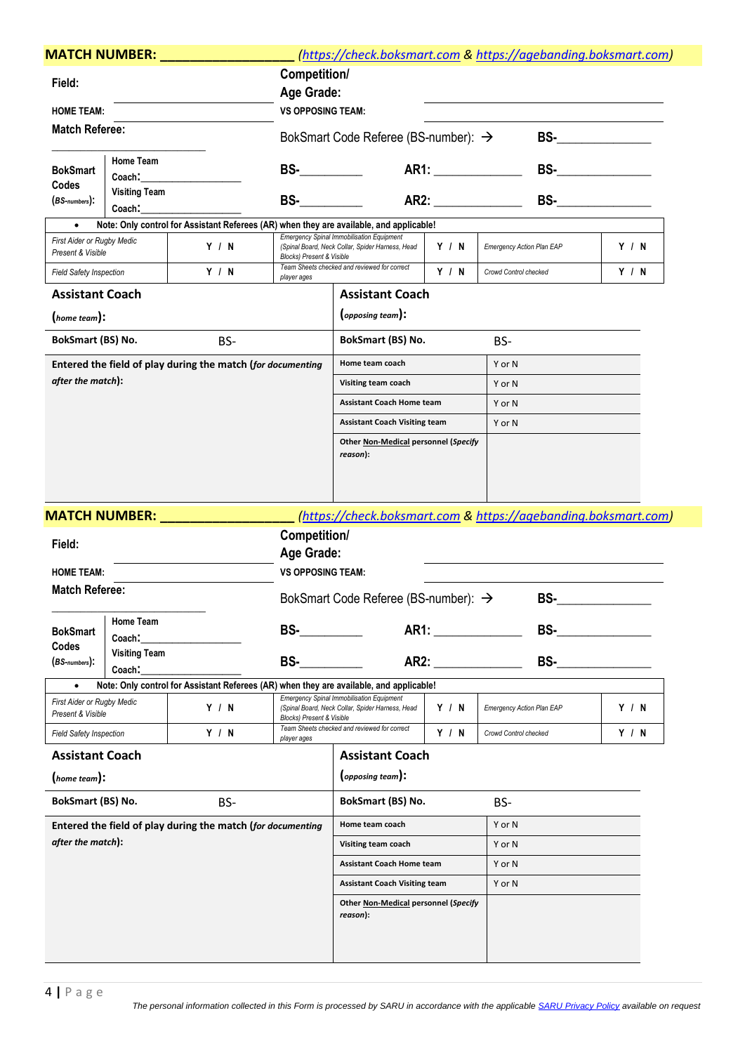|                                                                                                          | <b>MATCH NUMBER:</b>           |                                                                                         |                                      | (https://check.boksmart.com & https://agebanding.boksmart.com)                                       |       |                                  |                          |                                                                                                                                                                                                                                                                                                                                                                                                                  |  |  |
|----------------------------------------------------------------------------------------------------------|--------------------------------|-----------------------------------------------------------------------------------------|--------------------------------------|------------------------------------------------------------------------------------------------------|-------|----------------------------------|--------------------------|------------------------------------------------------------------------------------------------------------------------------------------------------------------------------------------------------------------------------------------------------------------------------------------------------------------------------------------------------------------------------------------------------------------|--|--|
| Field:                                                                                                   |                                |                                                                                         | Competition/                         |                                                                                                      |       |                                  |                          |                                                                                                                                                                                                                                                                                                                                                                                                                  |  |  |
|                                                                                                          |                                |                                                                                         | Age Grade:                           |                                                                                                      |       |                                  |                          |                                                                                                                                                                                                                                                                                                                                                                                                                  |  |  |
| <b>HOME TEAM:</b>                                                                                        |                                |                                                                                         | <b>VS OPPOSING TEAM:</b>             |                                                                                                      |       |                                  |                          |                                                                                                                                                                                                                                                                                                                                                                                                                  |  |  |
| <b>Match Referee:</b>                                                                                    |                                |                                                                                         |                                      | BokSmart Code Referee (BS-number): $\rightarrow$                                                     |       |                                  |                          |                                                                                                                                                                                                                                                                                                                                                                                                                  |  |  |
| Home Team<br><b>BokSmart</b><br>Coach:<br>Codes<br><b>Visiting Team</b><br>$(BS$ -numbers $):$<br>Coach: |                                |                                                                                         | $BS-$                                |                                                                                                      |       |                                  |                          | BS- $\frac{1}{\sqrt{1-\frac{1}{2}}\sqrt{1-\frac{1}{2}}\sqrt{1-\frac{1}{2}}\sqrt{1-\frac{1}{2}}\sqrt{1-\frac{1}{2}}\sqrt{1-\frac{1}{2}}\sqrt{1-\frac{1}{2}}\sqrt{1-\frac{1}{2}}\sqrt{1-\frac{1}{2}}\sqrt{1-\frac{1}{2}}\sqrt{1-\frac{1}{2}}\sqrt{1-\frac{1}{2}}\sqrt{1-\frac{1}{2}}\sqrt{1-\frac{1}{2}}\sqrt{1-\frac{1}{2}}\sqrt{1-\frac{1}{2}}\sqrt{1-\frac{1}{2}}\sqrt{1-\frac{1}{2}}\sqrt{1-\frac{1}{2}}\sqrt$ |  |  |
|                                                                                                          |                                |                                                                                         | <b>BS-</b>                           |                                                                                                      |       |                                  |                          |                                                                                                                                                                                                                                                                                                                                                                                                                  |  |  |
|                                                                                                          |                                | Note: Only control for Assistant Referees (AR) when they are available, and applicable! |                                      |                                                                                                      |       |                                  |                          |                                                                                                                                                                                                                                                                                                                                                                                                                  |  |  |
| First Aider or Rugby Medic<br>Present & Visible                                                          |                                | Y / N                                                                                   | <b>Blocks) Present &amp; Visible</b> | <b>Emergency Spinal Immobilisation Equipment</b><br>(Spinal Board, Neck Collar, Spider Harness, Head | Y / N | <b>Emergency Action Plan EAP</b> |                          | Y / N                                                                                                                                                                                                                                                                                                                                                                                                            |  |  |
| <b>Field Safety Inspection</b>                                                                           |                                | Y / N                                                                                   | player ages                          | Team Sheets checked and reviewed for correct                                                         | Y / N | Crowd Control checked            |                          | Y / N                                                                                                                                                                                                                                                                                                                                                                                                            |  |  |
| <b>Assistant Coach</b>                                                                                   |                                |                                                                                         |                                      | <b>Assistant Coach</b>                                                                               |       |                                  |                          |                                                                                                                                                                                                                                                                                                                                                                                                                  |  |  |
| (home team):                                                                                             |                                |                                                                                         |                                      | (opposing team):                                                                                     |       |                                  |                          |                                                                                                                                                                                                                                                                                                                                                                                                                  |  |  |
| <b>BokSmart (BS) No.</b>                                                                                 |                                | BS-                                                                                     |                                      | <b>BokSmart (BS) No.</b>                                                                             |       | BS-                              |                          |                                                                                                                                                                                                                                                                                                                                                                                                                  |  |  |
|                                                                                                          |                                | Entered the field of play during the match (for documenting                             |                                      | Home team coach                                                                                      |       | Y or N                           |                          |                                                                                                                                                                                                                                                                                                                                                                                                                  |  |  |
| after the match):                                                                                        |                                |                                                                                         |                                      | Visiting team coach                                                                                  |       | Y or N                           |                          |                                                                                                                                                                                                                                                                                                                                                                                                                  |  |  |
|                                                                                                          |                                |                                                                                         |                                      | <b>Assistant Coach Home team</b>                                                                     |       | Y or N                           |                          |                                                                                                                                                                                                                                                                                                                                                                                                                  |  |  |
|                                                                                                          |                                |                                                                                         |                                      | <b>Assistant Coach Visiting team</b>                                                                 |       | Y or N                           |                          |                                                                                                                                                                                                                                                                                                                                                                                                                  |  |  |
|                                                                                                          |                                |                                                                                         |                                      | Other Non-Medical personnel (Specify<br>reason):                                                     |       |                                  |                          |                                                                                                                                                                                                                                                                                                                                                                                                                  |  |  |
|                                                                                                          | <b>MATCH NUMBER:</b>           |                                                                                         |                                      | (https://check.boksmart.com & https://agebanding.boksmart.com)                                       |       |                                  |                          |                                                                                                                                                                                                                                                                                                                                                                                                                  |  |  |
| Field:                                                                                                   |                                |                                                                                         | Competition/                         |                                                                                                      |       |                                  |                          |                                                                                                                                                                                                                                                                                                                                                                                                                  |  |  |
|                                                                                                          |                                |                                                                                         | Age Grade:                           |                                                                                                      |       |                                  |                          |                                                                                                                                                                                                                                                                                                                                                                                                                  |  |  |
| <b>HOME TEAM:</b>                                                                                        |                                |                                                                                         | <b>VS OPPOSING TEAM:</b>             |                                                                                                      |       |                                  |                          |                                                                                                                                                                                                                                                                                                                                                                                                                  |  |  |
| <b>Match Referee:</b>                                                                                    |                                |                                                                                         |                                      | BokSmart Code Referee (BS-number): $\rightarrow$                                                     |       |                                  | BS-                      |                                                                                                                                                                                                                                                                                                                                                                                                                  |  |  |
| <b>BokSmart</b>                                                                                          | Home Team<br>Coach:            |                                                                                         | <b>BS-</b>                           |                                                                                                      |       |                                  |                          | <b>BS- BS- EXISTENT</b>                                                                                                                                                                                                                                                                                                                                                                                          |  |  |
| Codes<br>$(BS$ -numbers $):$                                                                             | <b>Visiting Team</b><br>Coach: |                                                                                         | BS-                                  | AR2: AREA                                                                                            |       |                                  | <b>BS- BS- EXECUTIVE</b> |                                                                                                                                                                                                                                                                                                                                                                                                                  |  |  |
|                                                                                                          |                                | Note: Only control for Assistant Referees (AR) when they are available, and applicable! |                                      |                                                                                                      |       |                                  |                          |                                                                                                                                                                                                                                                                                                                                                                                                                  |  |  |
| <b>First Aider or Rugby Medic</b><br>Present & Visible                                                   |                                | Y / N                                                                                   | <b>Blocks) Present &amp; Visible</b> | <b>Emergency Spinal Immobilisation Equipment</b><br>(Spinal Board, Neck Collar, Spider Harness, Head | Y / N | <b>Emergency Action Plan EAP</b> |                          | Y / N                                                                                                                                                                                                                                                                                                                                                                                                            |  |  |
| <b>Field Safety Inspection</b>                                                                           |                                | Y / N                                                                                   | player ages                          | Team Sheets checked and reviewed for correct                                                         | Y / N | Crowd Control checked            |                          | Y / N                                                                                                                                                                                                                                                                                                                                                                                                            |  |  |
| <b>Assistant Coach</b>                                                                                   |                                |                                                                                         |                                      | <b>Assistant Coach</b>                                                                               |       |                                  |                          |                                                                                                                                                                                                                                                                                                                                                                                                                  |  |  |
| (home team):                                                                                             |                                |                                                                                         |                                      | (opposing team):                                                                                     |       |                                  |                          |                                                                                                                                                                                                                                                                                                                                                                                                                  |  |  |
| <b>BokSmart (BS) No.</b>                                                                                 |                                | BS-                                                                                     |                                      | BokSmart (BS) No.                                                                                    |       | BS-                              |                          |                                                                                                                                                                                                                                                                                                                                                                                                                  |  |  |
| Entered the field of play during the match (for documenting                                              |                                |                                                                                         | Home team coach<br>Y or N            |                                                                                                      |       |                                  |                          |                                                                                                                                                                                                                                                                                                                                                                                                                  |  |  |
| after the match):                                                                                        |                                |                                                                                         |                                      | Visiting team coach                                                                                  |       | Y or N                           |                          |                                                                                                                                                                                                                                                                                                                                                                                                                  |  |  |
|                                                                                                          |                                |                                                                                         |                                      | <b>Assistant Coach Home team</b>                                                                     |       | Y or N                           |                          |                                                                                                                                                                                                                                                                                                                                                                                                                  |  |  |
|                                                                                                          |                                |                                                                                         |                                      | <b>Assistant Coach Visiting team</b>                                                                 |       | Y or N                           |                          |                                                                                                                                                                                                                                                                                                                                                                                                                  |  |  |
|                                                                                                          |                                |                                                                                         |                                      | Other Non-Medical personnel (Specify<br>reason):                                                     |       |                                  |                          |                                                                                                                                                                                                                                                                                                                                                                                                                  |  |  |
|                                                                                                          |                                |                                                                                         |                                      |                                                                                                      |       |                                  |                          |                                                                                                                                                                                                                                                                                                                                                                                                                  |  |  |